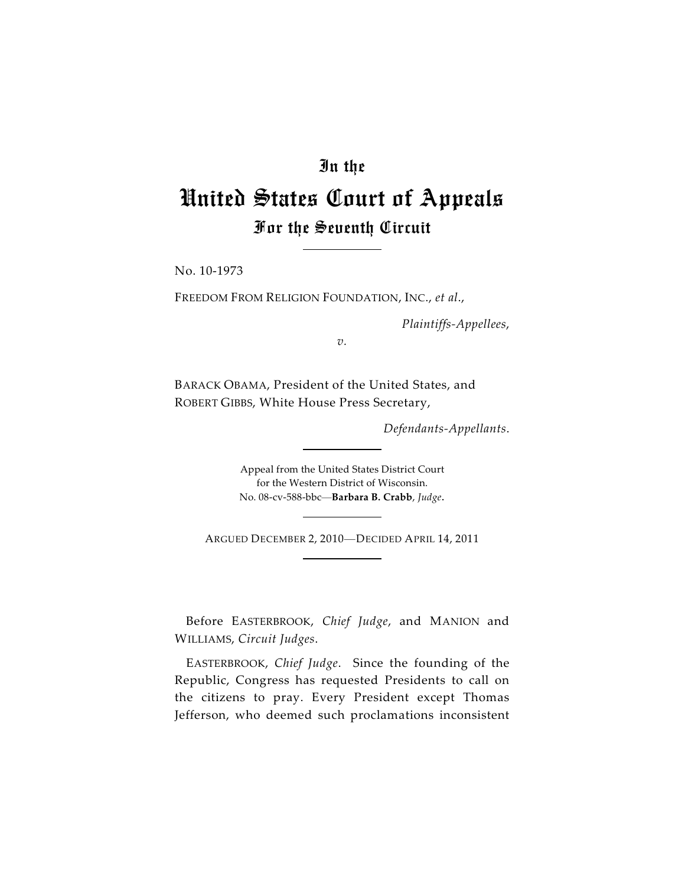## In the

## United States Court of Appeals For the Seventh Circuit

No. 10-1973

FREEDOM FROM RELIGION FOUNDATION, INC., *et al*.,

*Plaintiffs-Appellees*,

*v.*

BARACK OBAMA, President of the United States, and ROBERT GIBBS, White House Press Secretary,

*Defendants-Appellants*.

Appeal from the United States District Court for the Western District of Wisconsin. No. 08-cv-588-bbc—**Barbara B. Crabb**, *Judge*.

ARGUED DECEMBER 2, 2010—DECIDED APRIL 14, 2011

Before EASTERBROOK, *Chief Judge*, and MANION and WILLIAMS, *Circuit Judges*.

EASTERBROOK, *Chief Judge*. Since the founding of the Republic, Congress has requested Presidents to call on the citizens to pray. Every President except Thomas Jefferson, who deemed such proclamations inconsistent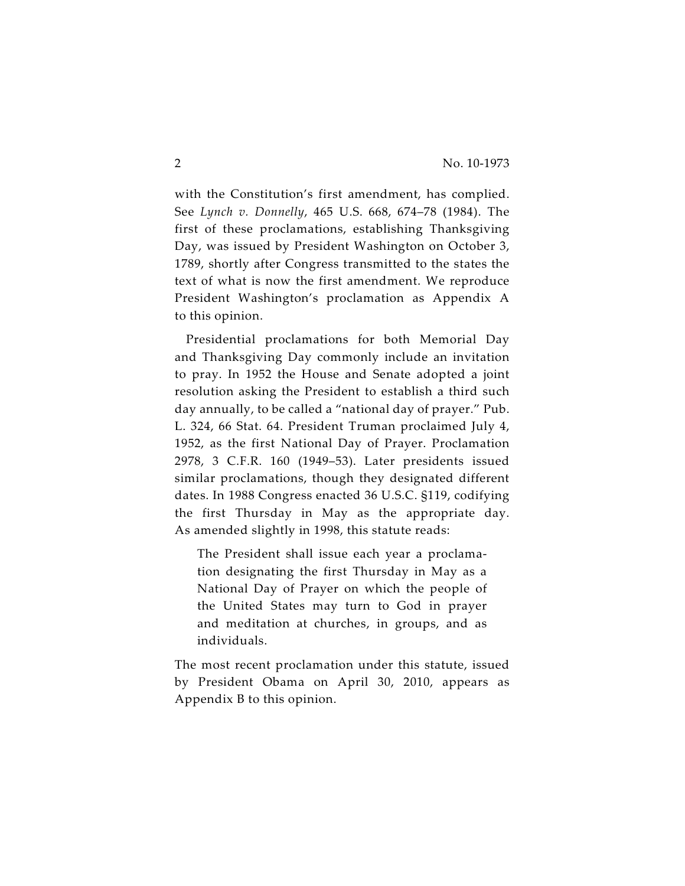with the Constitution's first amendment, has complied. See *Lynch v. Donnelly*, 465 U.S. 668, 674–78 (1984). The first of these proclamations, establishing Thanksgiving Day, was issued by President Washington on October 3, 1789, shortly after Congress transmitted to the states the text of what is now the first amendment. We reproduce President Washington's proclamation as Appendix A to this opinion.

Presidential proclamations for both Memorial Day and Thanksgiving Day commonly include an invitation to pray. In 1952 the House and Senate adopted a joint resolution asking the President to establish a third such day annually, to be called a "national day of prayer." Pub. L. 324, 66 Stat. 64. President Truman proclaimed July 4, 1952, as the first National Day of Prayer. Proclamation 2978, 3 C.F.R. 160 (1949–53). Later presidents issued similar proclamations, though they designated different dates. In 1988 Congress enacted 36 U.S.C. §119, codifying the first Thursday in May as the appropriate day. As amended slightly in 1998, this statute reads:

The President shall issue each year a proclamation designating the first Thursday in May as a National Day of Prayer on which the people of the United States may turn to God in prayer and meditation at churches, in groups, and as individuals.

The most recent proclamation under this statute, issued by President Obama on April 30, 2010, appears as Appendix B to this opinion.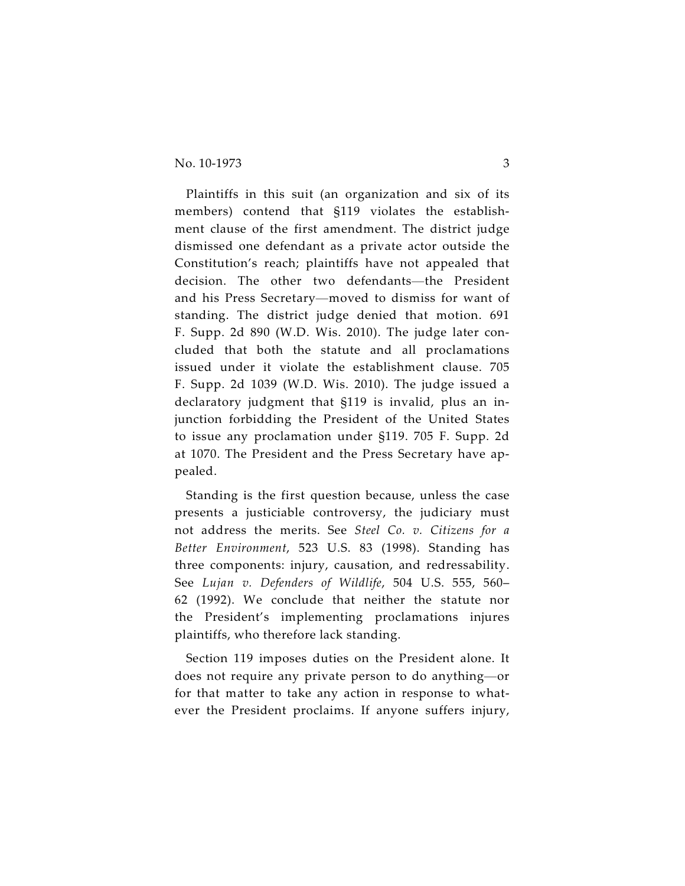Plaintiffs in this suit (an organization and six of its members) contend that §119 violates the establishment clause of the first amendment. The district judge dismissed one defendant as a private actor outside the Constitution's reach; plaintiffs have not appealed that decision. The other two defendants—the President and his Press Secretary—moved to dismiss for want of standing. The district judge denied that motion. 691 F. Supp. 2d 890 (W.D. Wis. 2010). The judge later concluded that both the statute and all proclamations issued under it violate the establishment clause. 705 F. Supp. 2d 1039 (W.D. Wis. 2010). The judge issued a declaratory judgment that §119 is invalid, plus an injunction forbidding the President of the United States to issue any proclamation under §119. 705 F. Supp. 2d at 1070. The President and the Press Secretary have appealed.

Standing is the first question because, unless the case presents a justiciable controversy, the judiciary must not address the merits. See *Steel Co. v. Citizens for a Better Environment*, 523 U.S. 83 (1998). Standing has three components: injury, causation, and redressability. See *Lujan v. Defenders of Wildlife*, 504 U.S. 555, 560– 62 (1992). We conclude that neither the statute nor the President's implementing proclamations injures plaintiffs, who therefore lack standing.

Section 119 imposes duties on the President alone. It does not require any private person to do anything—or for that matter to take any action in response to whatever the President proclaims. If anyone suffers injury,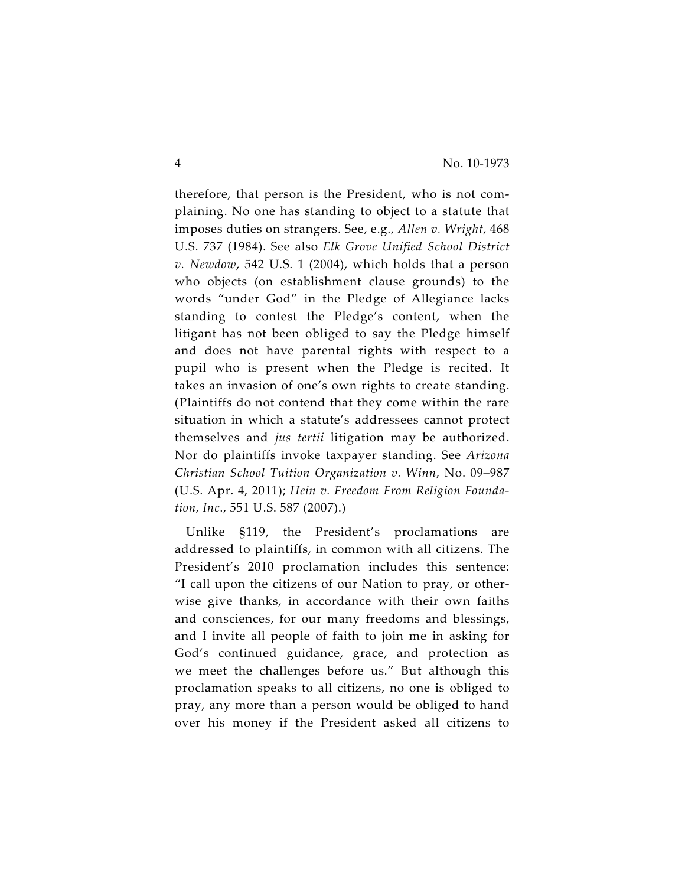therefore, that person is the President, who is not complaining. No one has standing to object to a statute that imposes duties on strangers. See, e.g., *Allen v. Wright*, 468 U.S. 737 (1984). See also *Elk Grove Unified School District v. Newdow*, 542 U.S. 1 (2004), which holds that a person who objects (on establishment clause grounds) to the words "under God" in the Pledge of Allegiance lacks standing to contest the Pledge's content, when the litigant has not been obliged to say the Pledge himself and does not have parental rights with respect to a pupil who is present when the Pledge is recited. It takes an invasion of one's own rights to create standing. (Plaintiffs do not contend that they come within the rare situation in which a statute's addressees cannot protect themselves and *jus tertii* litigation may be authorized. Nor do plaintiffs invoke taxpayer standing. See *Arizona Christian School Tuition Organization v. Winn*, No. 09–987 (U.S. Apr. 4, 2011); *Hein v. Freedom From Religion Foundation, Inc*., 551 U.S. 587 (2007).)

Unlike §119, the President's proclamations are addressed to plaintiffs, in common with all citizens. The President's 2010 proclamation includes this sentence: "I call upon the citizens of our Nation to pray, or otherwise give thanks, in accordance with their own faiths and consciences, for our many freedoms and blessings, and I invite all people of faith to join me in asking for God's continued guidance, grace, and protection as we meet the challenges before us." But although this proclamation speaks to all citizens, no one is obliged to pray, any more than a person would be obliged to hand over his money if the President asked all citizens to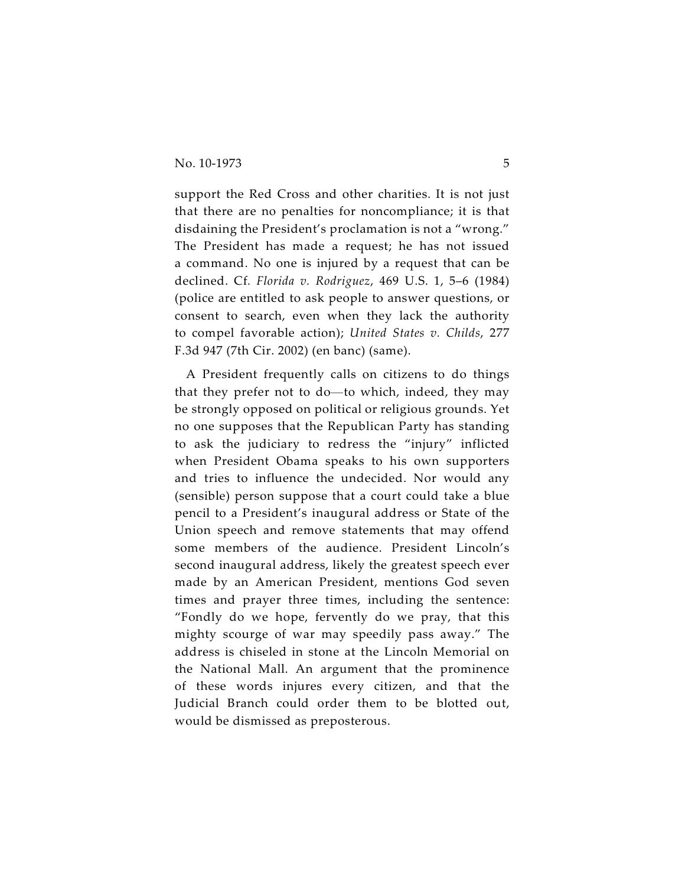support the Red Cross and other charities. It is not just that there are no penalties for noncompliance; it is that disdaining the President's proclamation is not a "wrong." The President has made a request; he has not issued a command. No one is injured by a request that can be declined. Cf*. Florida v. Rodriguez*, 469 U.S. 1, 5–6 (1984) (police are entitled to ask people to answer questions, or consent to search, even when they lack the authority to compel favorable action); *United States v. Childs*, 277 F.3d 947 (7th Cir. 2002) (en banc) (same).

A President frequently calls on citizens to do things that they prefer not to do—to which, indeed, they may be strongly opposed on political or religious grounds. Yet no one supposes that the Republican Party has standing to ask the judiciary to redress the "injury" inflicted when President Obama speaks to his own supporters and tries to influence the undecided. Nor would any (sensible) person suppose that a court could take a blue pencil to a President's inaugural address or State of the Union speech and remove statements that may offend some members of the audience. President Lincoln's second inaugural address, likely the greatest speech ever made by an American President, mentions God seven times and prayer three times, including the sentence: "Fondly do we hope, fervently do we pray, that this mighty scourge of war may speedily pass away." The address is chiseled in stone at the Lincoln Memorial on the National Mall. An argument that the prominence of these words injures every citizen, and that the Judicial Branch could order them to be blotted out, would be dismissed as preposterous.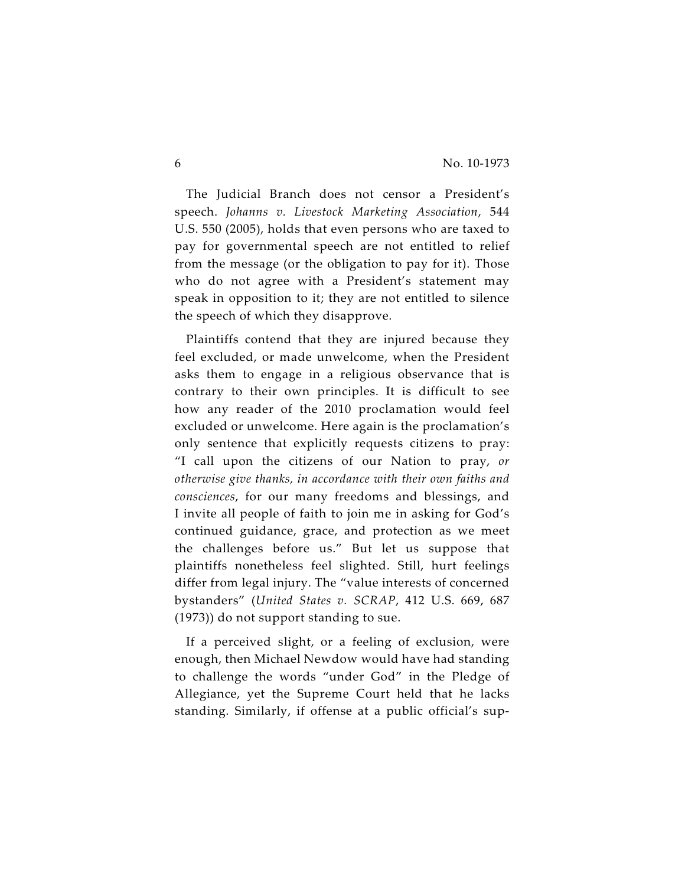The Judicial Branch does not censor a President's speech. *Johanns v. Livestock Marketing Association*, 544 U.S. 550 (2005), holds that even persons who are taxed to pay for governmental speech are not entitled to relief from the message (or the obligation to pay for it). Those who do not agree with a President's statement may speak in opposition to it; they are not entitled to silence the speech of which they disapprove.

Plaintiffs contend that they are injured because they feel excluded, or made unwelcome, when the President asks them to engage in a religious observance that is contrary to their own principles. It is difficult to see how any reader of the 2010 proclamation would feel excluded or unwelcome. Here again is the proclamation's only sentence that explicitly requests citizens to pray: "I call upon the citizens of our Nation to pray, *or otherwise give thanks, in accordance with their own faiths and consciences*, for our many freedoms and blessings, and I invite all people of faith to join me in asking for God's continued guidance, grace, and protection as we meet the challenges before us." But let us suppose that plaintiffs nonetheless feel slighted. Still, hurt feelings differ from legal injury. The "value interests of concerned bystanders" (*United States v. SCRAP*, 412 U.S. 669, 687 (1973)) do not support standing to sue.

If a perceived slight, or a feeling of exclusion, were enough, then Michael Newdow would have had standing to challenge the words "under God" in the Pledge of Allegiance, yet the Supreme Court held that he lacks standing. Similarly, if offense at a public official's sup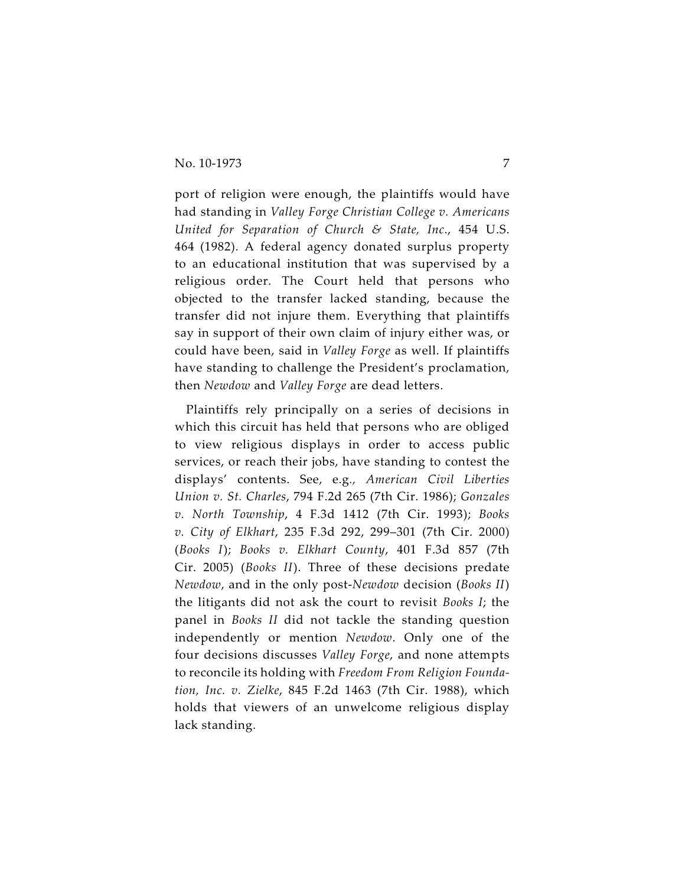port of religion were enough, the plaintiffs would have had standing in *Valley Forge Christian College v. Americans United for Separation of Church & State, Inc*., 454 U.S. 464 (1982). A federal agency donated surplus property to an educational institution that was supervised by a religious order. The Court held that persons who objected to the transfer lacked standing, because the transfer did not injure them. Everything that plaintiffs say in support of their own claim of injury either was, or could have been, said in *Valley Forge* as well. If plaintiffs have standing to challenge the President's proclamation, then *Newdow* and *Valley Forge* are dead letters.

Plaintiffs rely principally on a series of decisions in which this circuit has held that persons who are obliged to view religious displays in order to access public services, or reach their jobs, have standing to contest the displays' contents. See, e.g*., American Civil Liberties Union v. St. Charles*, 794 F.2d 265 (7th Cir. 1986); *Gonzales v. North Township*, 4 F.3d 1412 (7th Cir. 1993); *Books v. City of Elkhart*, 235 F.3d 292, 299–301 (7th Cir. 2000) (*Books I*); *Books v. Elkhart County*, 401 F.3d 857 (7th Cir. 2005) (*Books II*). Three of these decisions predate *Newdow*, and in the only post-*Newdow* decision (*Books II*) the litigants did not ask the court to revisit *Books I*; the panel in *Books II* did not tackle the standing question independently or mention *Newdow*. Only one of the four decisions discusses *Valley Forge*, and none attempts to reconcile its holding with *Freedom From Religion Foundation, Inc. v. Zielke*, 845 F.2d 1463 (7th Cir. 1988), which holds that viewers of an unwelcome religious display lack standing.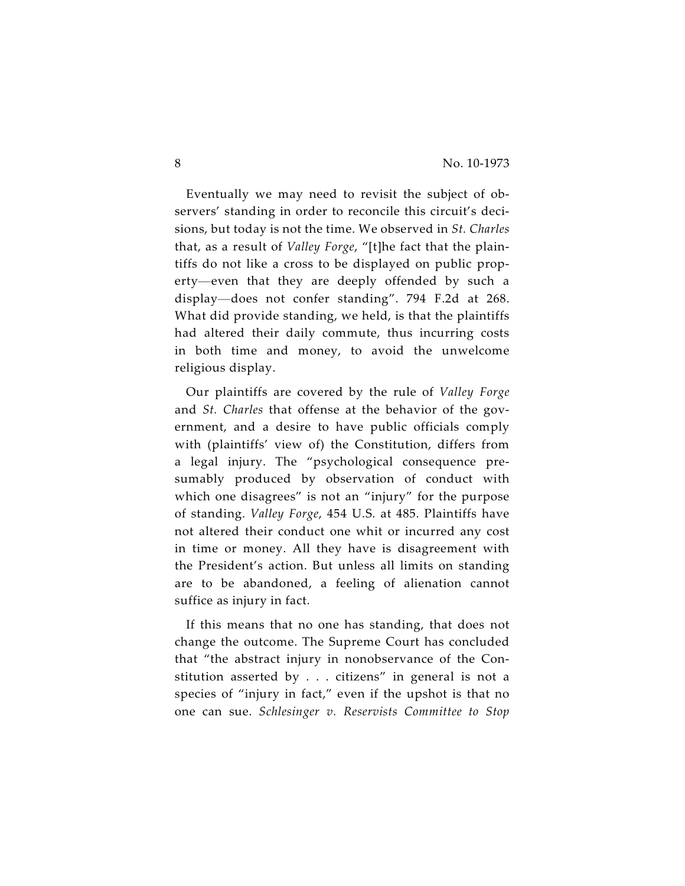Eventually we may need to revisit the subject of observers' standing in order to reconcile this circuit's decisions, but today is not the time. We observed in *St. Charles* that, as a result of *Valley Forge*, "[t]he fact that the plaintiffs do not like a cross to be displayed on public property—even that they are deeply offended by such a display—does not confer standing". 794 F.2d at 268. What did provide standing, we held, is that the plaintiffs had altered their daily commute, thus incurring costs in both time and money, to avoid the unwelcome religious display.

Our plaintiffs are covered by the rule of *Valley Forge* and *St. Charles* that offense at the behavior of the government, and a desire to have public officials comply with (plaintiffs' view of) the Constitution, differs from a legal injury. The "psychological consequence presumably produced by observation of conduct with which one disagrees" is not an "injury" for the purpose of standing. *Valley Forge*, 454 U.S. at 485. Plaintiffs have not altered their conduct one whit or incurred any cost in time or money. All they have is disagreement with the President's action. But unless all limits on standing are to be abandoned, a feeling of alienation cannot suffice as injury in fact.

If this means that no one has standing, that does not change the outcome. The Supreme Court has concluded that "the abstract injury in nonobservance of the Constitution asserted by . . . citizens" in general is not a species of "injury in fact," even if the upshot is that no one can sue. *Schlesinger v. Reservists Committee to Stop*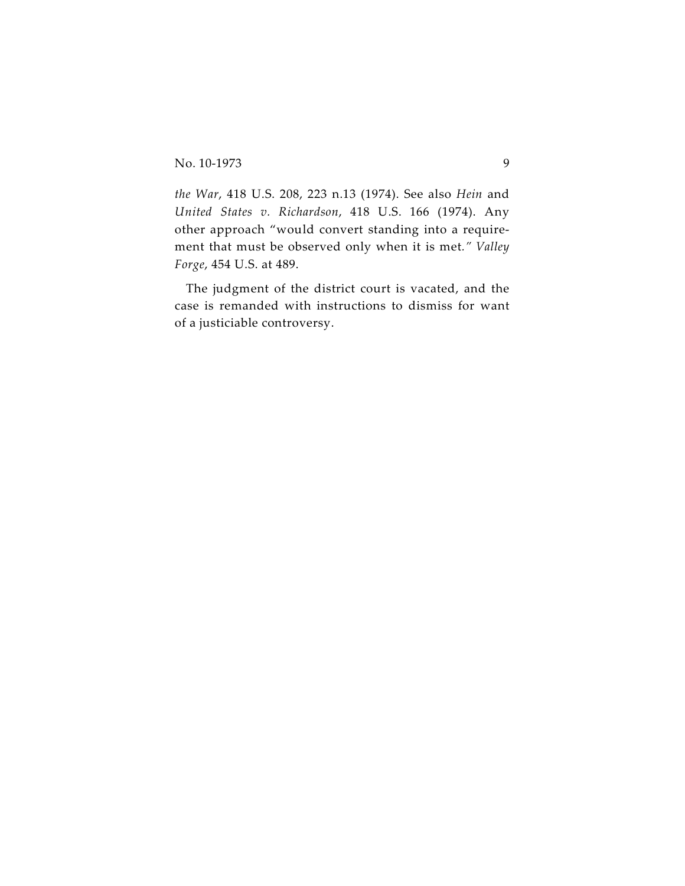*the War*, 418 U.S. 208, 223 n.13 (1974). See also *Hein* and *United States v. Richardson*, 418 U.S. 166 (1974). Any other approach "would convert standing into a requirement that must be observed only when it is met*." Valley Forge*, 454 U.S. at 489.

The judgment of the district court is vacated, and the case is remanded with instructions to dismiss for want of a justiciable controversy.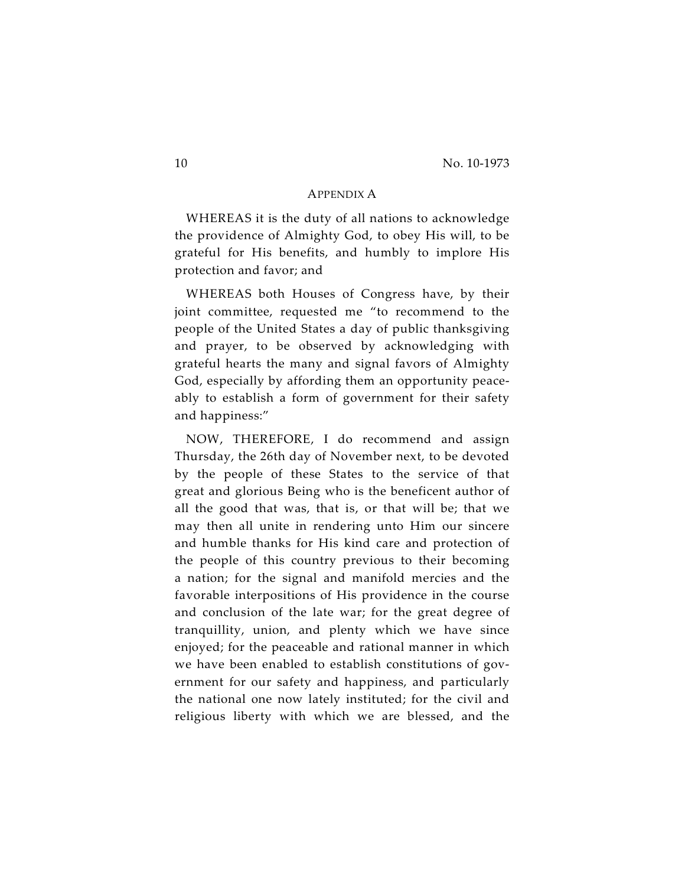## APPENDIX A

WHEREAS it is the duty of all nations to acknowledge the providence of Almighty God, to obey His will, to be grateful for His benefits, and humbly to implore His protection and favor; and

WHEREAS both Houses of Congress have, by their joint committee, requested me "to recommend to the people of the United States a day of public thanksgiving and prayer, to be observed by acknowledging with grateful hearts the many and signal favors of Almighty God, especially by affording them an opportunity peaceably to establish a form of government for their safety and happiness:"

NOW, THEREFORE, I do recommend and assign Thursday, the 26th day of November next, to be devoted by the people of these States to the service of that great and glorious Being who is the beneficent author of all the good that was, that is, or that will be; that we may then all unite in rendering unto Him our sincere and humble thanks for His kind care and protection of the people of this country previous to their becoming a nation; for the signal and manifold mercies and the favorable interpositions of His providence in the course and conclusion of the late war; for the great degree of tranquillity, union, and plenty which we have since enjoyed; for the peaceable and rational manner in which we have been enabled to establish constitutions of government for our safety and happiness, and particularly the national one now lately instituted; for the civil and religious liberty with which we are blessed, and the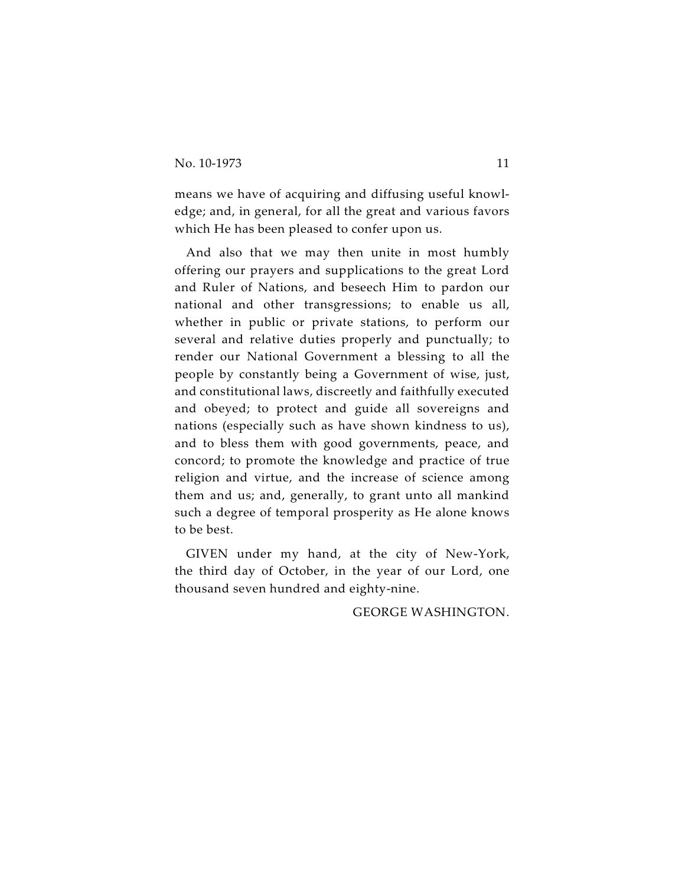means we have of acquiring and diffusing useful knowledge; and, in general, for all the great and various favors which He has been pleased to confer upon us.

And also that we may then unite in most humbly offering our prayers and supplications to the great Lord and Ruler of Nations, and beseech Him to pardon our national and other transgressions; to enable us all, whether in public or private stations, to perform our several and relative duties properly and punctually; to render our National Government a blessing to all the people by constantly being a Government of wise, just, and constitutional laws, discreetly and faithfully executed and obeyed; to protect and guide all sovereigns and nations (especially such as have shown kindness to us), and to bless them with good governments, peace, and concord; to promote the knowledge and practice of true religion and virtue, and the increase of science among them and us; and, generally, to grant unto all mankind such a degree of temporal prosperity as He alone knows to be best.

GIVEN under my hand, at the city of New-York, the third day of October, in the year of our Lord, one thousand seven hundred and eighty-nine.

GEORGE WASHINGTON.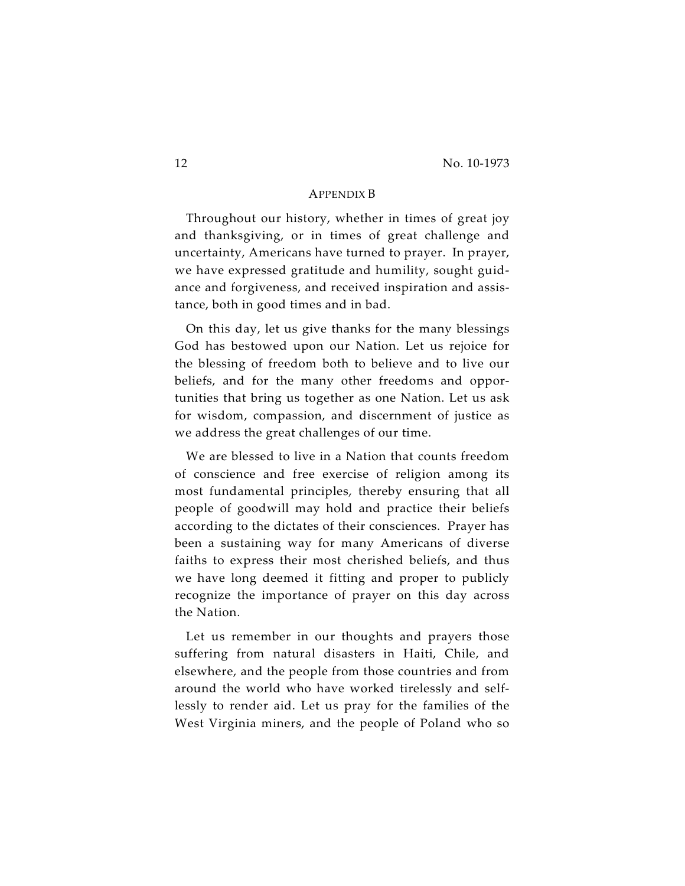## APPENDIX B

Throughout our history, whether in times of great joy and thanksgiving, or in times of great challenge and uncertainty, Americans have turned to prayer. In prayer, we have expressed gratitude and humility, sought guidance and forgiveness, and received inspiration and assistance, both in good times and in bad.

On this day, let us give thanks for the many blessings God has bestowed upon our Nation. Let us rejoice for the blessing of freedom both to believe and to live our beliefs, and for the many other freedoms and opportunities that bring us together as one Nation. Let us ask for wisdom, compassion, and discernment of justice as we address the great challenges of our time.

We are blessed to live in a Nation that counts freedom of conscience and free exercise of religion among its most fundamental principles, thereby ensuring that all people of goodwill may hold and practice their beliefs according to the dictates of their consciences. Prayer has been a sustaining way for many Americans of diverse faiths to express their most cherished beliefs, and thus we have long deemed it fitting and proper to publicly recognize the importance of prayer on this day across the Nation.

Let us remember in our thoughts and prayers those suffering from natural disasters in Haiti, Chile, and elsewhere, and the people from those countries and from around the world who have worked tirelessly and selflessly to render aid. Let us pray for the families of the West Virginia miners, and the people of Poland who so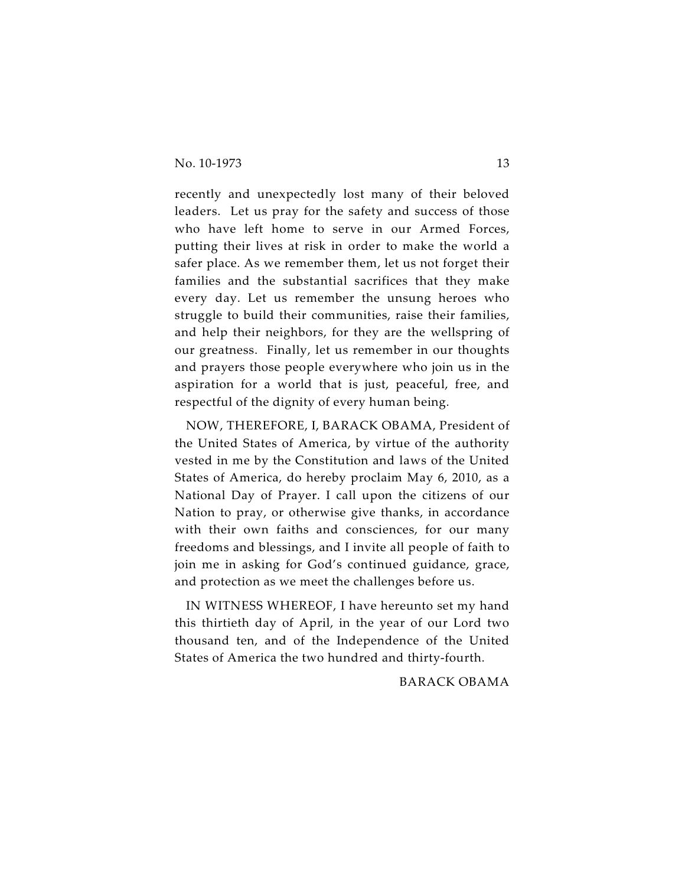recently and unexpectedly lost many of their beloved leaders. Let us pray for the safety and success of those who have left home to serve in our Armed Forces, putting their lives at risk in order to make the world a safer place. As we remember them, let us not forget their families and the substantial sacrifices that they make every day. Let us remember the unsung heroes who struggle to build their communities, raise their families, and help their neighbors, for they are the wellspring of our greatness. Finally, let us remember in our thoughts and prayers those people everywhere who join us in the aspiration for a world that is just, peaceful, free, and respectful of the dignity of every human being.

NOW, THEREFORE, I, BARACK OBAMA, President of the United States of America, by virtue of the authority vested in me by the Constitution and laws of the United States of America, do hereby proclaim May 6, 2010, as a National Day of Prayer. I call upon the citizens of our Nation to pray, or otherwise give thanks, in accordance with their own faiths and consciences, for our many freedoms and blessings, and I invite all people of faith to join me in asking for God's continued guidance, grace, and protection as we meet the challenges before us.

IN WITNESS WHEREOF, I have hereunto set my hand this thirtieth day of April, in the year of our Lord two thousand ten, and of the Independence of the United States of America the two hundred and thirty-fourth.

BARACK OBAMA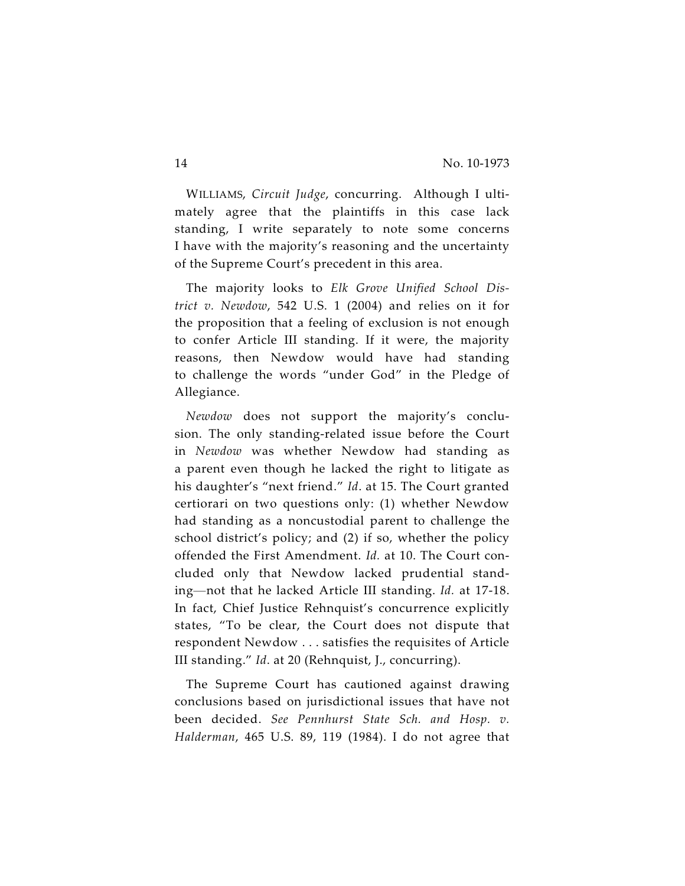WILLIAMS, *Circuit Judge*, concurring. Although I ultimately agree that the plaintiffs in this case lack standing, I write separately to note some concerns I have with the majority's reasoning and the uncertainty of the Supreme Court's precedent in this area.

The majority looks to *Elk Grove Unified School District v. Newdow*, 542 U.S. 1 (2004) and relies on it for the proposition that a feeling of exclusion is not enough to confer Article III standing. If it were, the majority reasons, then Newdow would have had standing to challenge the words "under God" in the Pledge of Allegiance.

*Newdow* does not support the majority's conclusion. The only standing-related issue before the Court in *Newdow* was whether Newdow had standing as a parent even though he lacked the right to litigate as his daughter's "next friend." *Id*. at 15. The Court granted certiorari on two questions only: (1) whether Newdow had standing as a noncustodial parent to challenge the school district's policy; and (2) if so, whether the policy offended the First Amendment. *Id.* at 10. The Court concluded only that Newdow lacked prudential standing—not that he lacked Article III standing. *Id.* at 17-18. In fact, Chief Justice Rehnquist's concurrence explicitly states, "To be clear, the Court does not dispute that respondent Newdow . . . satisfies the requisites of Article III standing." *Id*. at 20 (Rehnquist, J., concurring).

The Supreme Court has cautioned against drawing conclusions based on jurisdictional issues that have not been decided. *See Pennhurst State Sch. and Hosp. v. Halderman*, 465 U.S. 89, 119 (1984). I do not agree that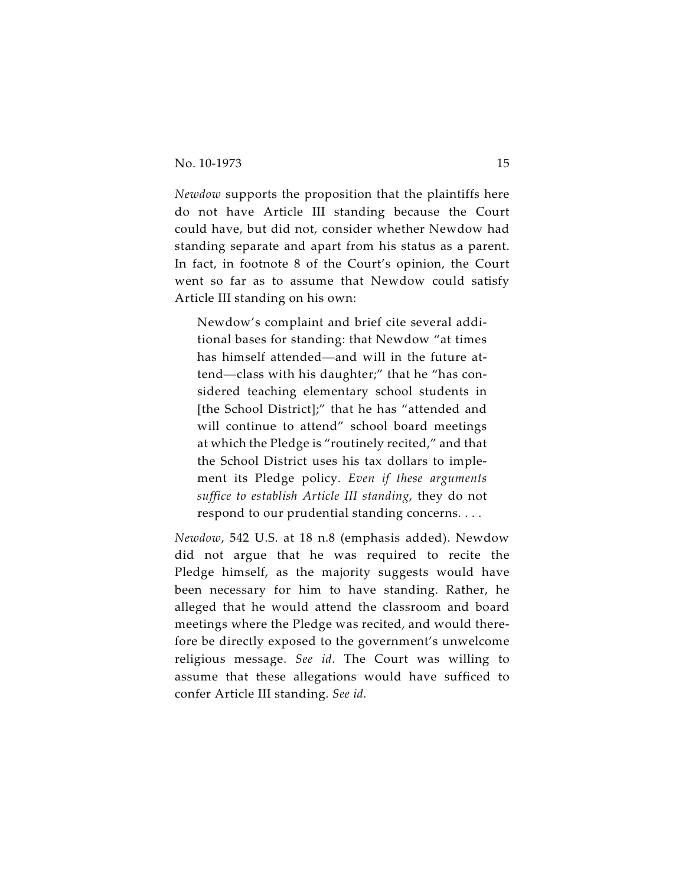*Newdow* supports the proposition that the plaintiffs here do not have Article III standing because the Court could have, but did not, consider whether Newdow had standing separate and apart from his status as a parent. In fact, in footnote 8 of the Court's opinion, the Court went so far as to assume that Newdow could satisfy Article III standing on his own:

Newdow's complaint and brief cite several additional bases for standing: that Newdow "at times has himself attended—and will in the future attend—class with his daughter;" that he "has considered teaching elementary school students in [the School District];" that he has "attended and will continue to attend" school board meetings at which the Pledge is "routinely recited," and that the School District uses his tax dollars to implement its Pledge policy. *Even if these arguments suffice to establish Article III standing*, they do not respond to our prudential standing concerns. . . .

*Newdow*, 542 U.S. at 18 n.8 (emphasis added). Newdow did not argue that he was required to recite the Pledge himself, as the majority suggests would have been necessary for him to have standing. Rather, he alleged that he would attend the classroom and board meetings where the Pledge was recited, and would therefore be directly exposed to the government's unwelcome religious message. *See id.* The Court was willing to assume that these allegations would have sufficed to confer Article III standing. *See id.*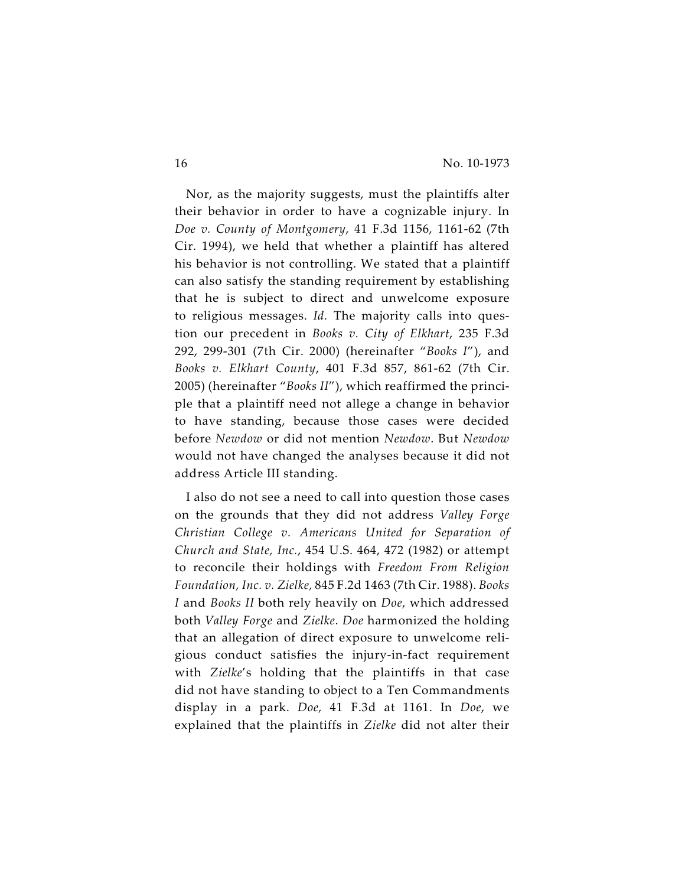Nor, as the majority suggests, must the plaintiffs alter their behavior in order to have a cognizable injury. In *Doe v. County of Montgomery*, 41 F.3d 1156, 1161-62 (7th Cir. 1994), we held that whether a plaintiff has altered his behavior is not controlling. We stated that a plaintiff can also satisfy the standing requirement by establishing that he is subject to direct and unwelcome exposure to religious messages. *Id.* The majority calls into question our precedent in *Books v. City of Elkhart*, 235 F.3d 292, 299-301 (7th Cir. 2000) (hereinafter "*Books I*"), and *Books v. Elkhart County*, 401 F.3d 857, 861-62 (7th Cir. 2005) (hereinafter "*Books II*"), which reaffirmed the principle that a plaintiff need not allege a change in behavior to have standing, because those cases were decided before *Newdow* or did not mention *Newdow*. But *Newdow* would not have changed the analyses because it did not address Article III standing.

I also do not see a need to call into question those cases on the grounds that they did not address *Valley Forge Christian College v. Americans United for Separation of Church and State, Inc.*, 454 U.S. 464, 472 (1982) or attempt to reconcile their holdings with *Freedom From Religion Foundation, Inc. v. Zielke,* 845 F.2d 1463 (7th Cir. 1988). *Books I* and *Books II* both rely heavily on *Doe*, which addressed both *Valley Forge* and *Zielke*. *Doe* harmonized the holding that an allegation of direct exposure to unwelcome religious conduct satisfies the injury-in-fact requirement with *Zielke*'s holding that the plaintiffs in that case did not have standing to object to a Ten Commandments display in a park. *Doe,* 41 F.3d at 1161. In *Doe*, we explained that the plaintiffs in *Zielke* did not alter their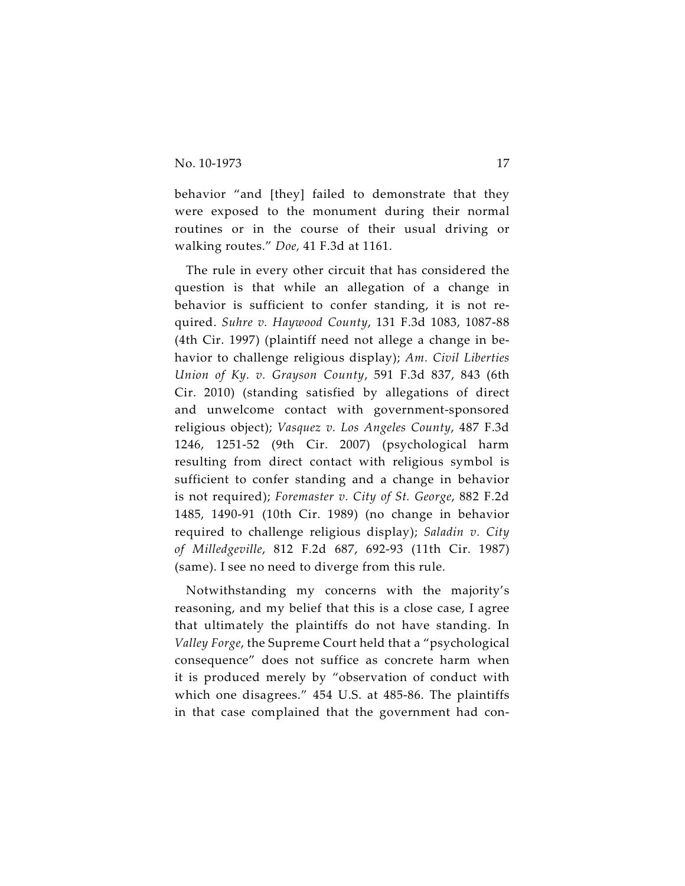behavior "and [they] failed to demonstrate that they were exposed to the monument during their normal routines or in the course of their usual driving or walking routes." *Doe,* 41 F.3d at 1161.

The rule in every other circuit that has considered the question is that while an allegation of a change in behavior is sufficient to confer standing, it is not required. *Suhre v. Haywood County*, 131 F.3d 1083, 1087-88 (4th Cir. 1997) (plaintiff need not allege a change in behavior to challenge religious display); *Am. Civil Liberties Union of Ky. v. Grayson County*, 591 F.3d 837, 843 (6th Cir. 2010) (standing satisfied by allegations of direct and unwelcome contact with government-sponsored religious object); *Vasquez v. Los Angeles County*, 487 F.3d 1246, 1251-52 (9th Cir. 2007) (psychological harm resulting from direct contact with religious symbol is sufficient to confer standing and a change in behavior is not required); *Foremaster v. City of St. George*, 882 F.2d 1485, 1490-91 (10th Cir. 1989) (no change in behavior required to challenge religious display); *Saladin v. City of Milledgeville*, 812 F.2d 687, 692-93 (11th Cir. 1987) (same). I see no need to diverge from this rule.

Notwithstanding my concerns with the majority's reasoning, and my belief that this is a close case, I agree that ultimately the plaintiffs do not have standing. In *Valley Forge*, the Supreme Court held that a "psychological consequence" does not suffice as concrete harm when it is produced merely by "observation of conduct with which one disagrees." 454 U.S. at 485-86. The plaintiffs in that case complained that the government had con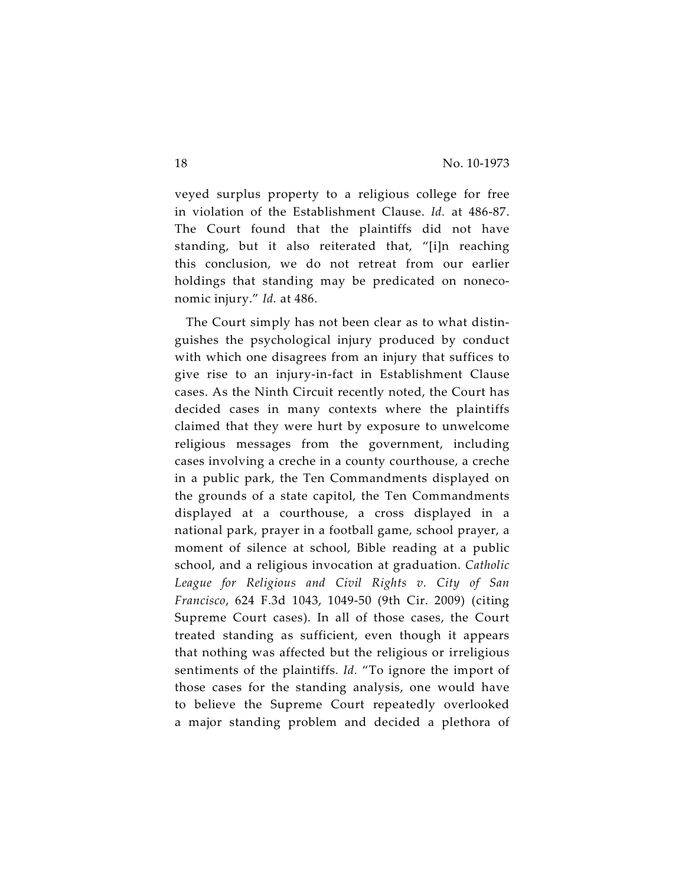veyed surplus property to a religious college for free in violation of the Establishment Clause. *Id.* at 486-87. The Court found that the plaintiffs did not have standing, but it also reiterated that, "[i]n reaching this conclusion, we do not retreat from our earlier holdings that standing may be predicated on noneconomic injury." *Id.* at 486.

The Court simply has not been clear as to what distinguishes the psychological injury produced by conduct with which one disagrees from an injury that suffices to give rise to an injury-in-fact in Establishment Clause cases. As the Ninth Circuit recently noted, the Court has decided cases in many contexts where the plaintiffs claimed that they were hurt by exposure to unwelcome religious messages from the government, including cases involving a creche in a county courthouse, a creche in a public park, the Ten Commandments displayed on the grounds of a state capitol, the Ten Commandments displayed at a courthouse, a cross displayed in a national park, prayer in a football game, school prayer, a moment of silence at school, Bible reading at a public school, and a religious invocation at graduation. *Catholic League for Religious and Civil Rights v. City of San Francisco*, 624 F.3d 1043, 1049-50 (9th Cir. 2009) (citing Supreme Court cases). In all of those cases, the Court treated standing as sufficient, even though it appears that nothing was affected but the religious or irreligious sentiments of the plaintiffs. *Id.* "To ignore the import of those cases for the standing analysis, one would have to believe the Supreme Court repeatedly overlooked a major standing problem and decided a plethora of